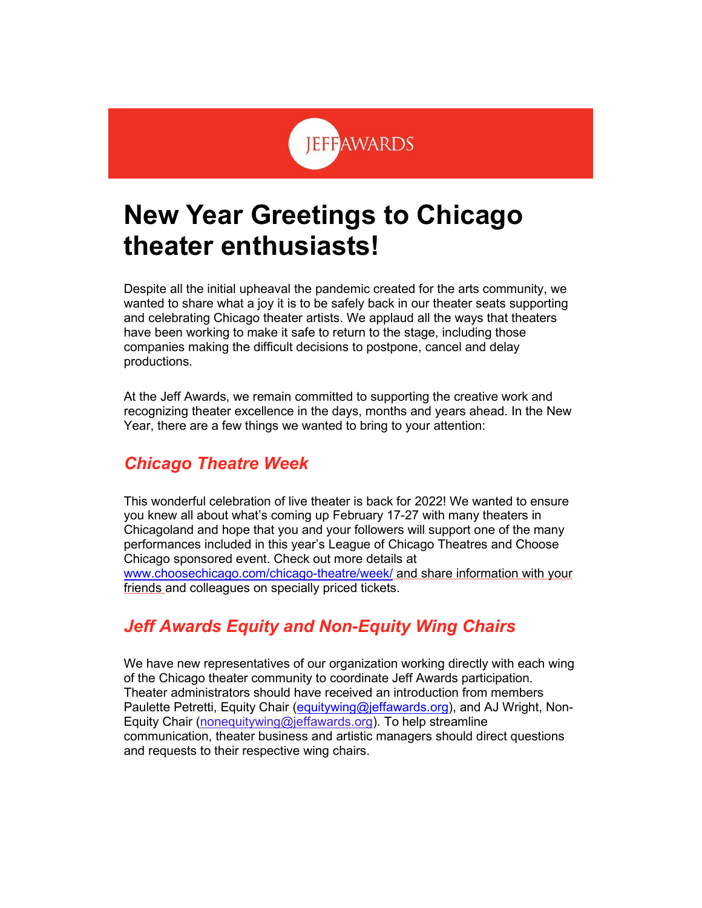# **JEFFAWARDS**

## **New Year Greetings to Chicago theater enthusiasts!**

Despite all the initial upheaval the pandemic created for the arts community, we wanted to share what a joy it is to be safely back in our theater seats supporting and celebrating Chicago theater artists. We applaud all the ways that theaters have been working to make it safe to return to the stage, including those companies making the difficult decisions to postpone, cancel and delay productions.

At the Jeff Awards, we remain committed to supporting the creative work and recognizing theater excellence in the days, months and years ahead. In the New Year, there are a few things we wanted to bring to your attention:

#### *Chicago Theatre Week*

This wonderful celebration of live theater is back for 2022! We wanted to ensure you knew all about what's coming up February 17-27 with many theaters in Chicagoland and hope that you and your followers will support one of the many performances included in this year's League of Chicago Theatres and Choose Chicago sponsored event. Check out more details at [www.choosechicago.com/chicago-theatre/week/](http://www.choosechicago.com/chicago-theatre/week/) and share information with your friends and colleagues on specially priced tickets.

### *Jeff Awards Equity and Non-Equity Wing Chairs*

We have new representatives of our organization working directly with each wing of the Chicago theater community to coordinate Jeff Awards participation. Theater administrators should have received an introduction from members Paulette Petretti, Equity Chair [\(equitywing@jeffawards.org\)](mailto:equitywing@jeffawards.org), and AJ Wright, Non-Equity Chair [\(nonequitywing@jeffawards.org\)](mailto:nonequitywing@jeffawards.org). To help streamline communication, theater business and artistic managers should direct questions and requests to their respective wing chairs.